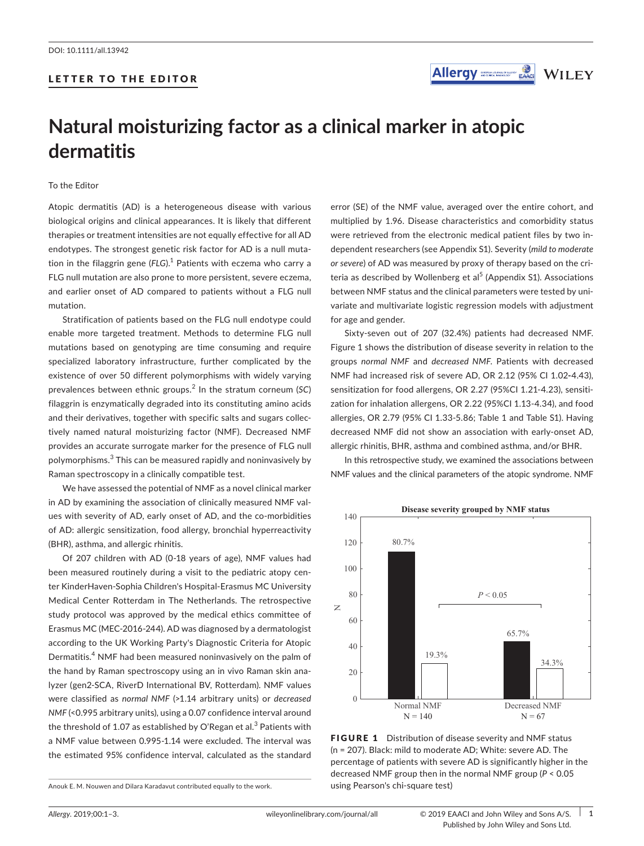## LETTER TO THE EDITOR



# **Natural moisturizing factor as a clinical marker in atopic dermatitis**

To the Editor

Atopic dermatitis (AD) is a heterogeneous disease with various biological origins and clinical appearances. It is likely that different therapies or treatment intensities are not equally effective for all AD endotypes. The strongest genetic risk factor for AD is a null muta‐ tion in the filaggrin gene (FLG).<sup>1</sup> Patients with eczema who carry a FLG null mutation are also prone to more persistent, severe eczema, and earlier onset of AD compared to patients without a FLG null mutation.

Stratification of patients based on the FLG null endotype could enable more targeted treatment. Methods to determine FLG null mutations based on genotyping are time consuming and require specialized laboratory infrastructure, further complicated by the existence of over 50 different polymorphisms with widely varying prevalences between ethnic groups.<sup>2</sup> In the stratum corneum (*SC*) filaggrin is enzymatically degraded into its constituting amino acids and their derivatives, together with specific salts and sugars collec‐ tively named natural moisturizing factor (NMF). Decreased NMF provides an accurate surrogate marker for the presence of FLG null polymorphisms.<sup>3</sup> This can be measured rapidly and noninvasively by Raman spectroscopy in a clinically compatible test.

We have assessed the potential of NMF as a novel clinical marker in AD by examining the association of clinically measured NMF values with severity of AD, early onset of AD, and the co-morbidities of AD: allergic sensitization, food allergy, bronchial hyperreactivity (BHR), asthma, and allergic rhinitis.

Of 207 children with AD (0‐18 years of age), NMF values had been measured routinely during a visit to the pediatric atopy center KinderHaven‐Sophia Children's Hospital‐Erasmus MC University Medical Center Rotterdam in The Netherlands. The retrospective study protocol was approved by the medical ethics committee of Erasmus MC (MEC‐2016‐244). AD was diagnosed by a dermatologist according to the UK Working Party's Diagnostic Criteria for Atopic Dermatitis.<sup>4</sup> NMF had been measured noninvasively on the palm of the hand by Raman spectroscopy using an in vivo Raman skin ana‐ lyzer (gen2‐SCA, RiverD International BV, Rotterdam). NMF values were classified as *normal NMF* (>1.14 arbitrary units) or *decreased NMF* (<0.995 arbitrary units), using a 0.07 confidence interval around the threshold of 1.07 as established by O'Regan et al. $^3$  Patients with a NMF value between 0.995‐1.14 were excluded. The interval was the estimated 95% confidence interval, calculated as the standard

Anouk E. M. Nouwen and Dilara Karadavut contributed equally to the work.

error (SE) of the NMF value, averaged over the entire cohort, and multiplied by 1.96. Disease characteristics and comorbidity status were retrieved from the electronic medical patient files by two in‐ dependent researchers (see Appendix S1). Severity (*mild to moderate or severe*) of AD was measured by proxy of therapy based on the cri‐ teria as described by Wollenberg et al<sup>5</sup> (Appendix S1). Associations between NMF status and the clinical parameters were tested by uni‐ variate and multivariate logistic regression models with adjustment for age and gender.

Sixty‐seven out of 207 (32.4%) patients had decreased NMF. Figure 1 shows the distribution of disease severity in relation to the groups *normal NMF* and *decreased NMF*. Patients with decreased NMF had increased risk of severe AD, OR 2.12 (95% CI 1.02**‐**4.43), sensitization for food allergens, OR 2.27 (95%CI 1.21‐4.23), sensiti‐ zation for inhalation allergens, OR 2.22 (95%CI 1.13‐4.34), and food allergies, OR 2.79 (95% CI 1.33‐5.86; Table 1 and Table S1). Having decreased NMF did not show an association with early‐onset AD, allergic rhinitis, BHR, asthma and combined asthma, and/or BHR.

In this retrospective study, we examined the associations between NMF values and the clinical parameters of the atopic syndrome. NMF



FIGURE 1 Distribution of disease severity and NMF status (n = 207). Black: mild to moderate AD; White: severe AD. The percentage of patients with severe AD is significantly higher in the decreased NMF group then in the normal NMF group (*P* < 0.05 using Pearson's chi‐square test)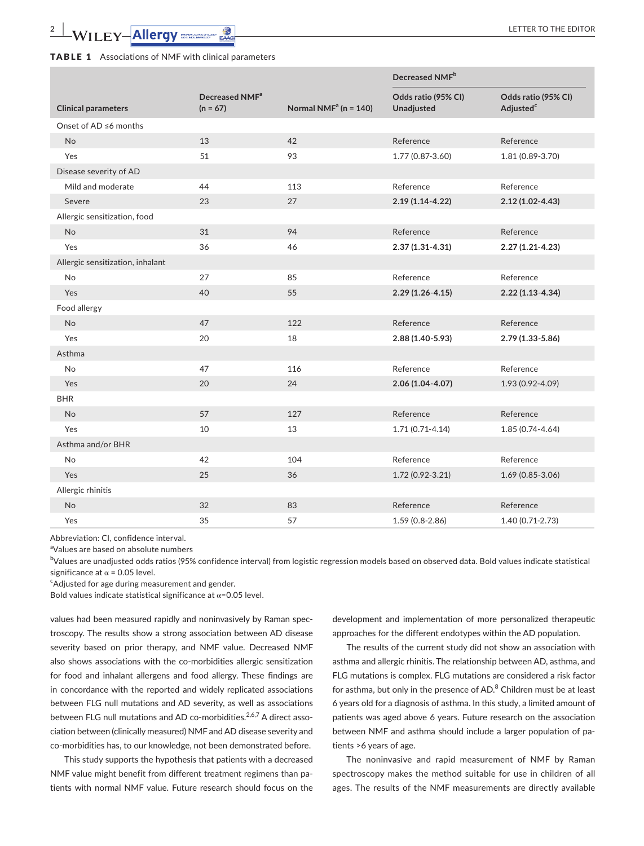**Clinical parameters**

Onset of AD ≤6 months

Disease severity of AD

Allergic sensitization, food

Allergic sensitization, inhalant

Foo

Asth

BHR

Asth

Alle

| <b>DLL 1</b> ASSOCIATIONS OF INPIT WILLI CHILICAL PALAMETERS |                                          |                          |                                          |                                              |  |  |  |
|--------------------------------------------------------------|------------------------------------------|--------------------------|------------------------------------------|----------------------------------------------|--|--|--|
|                                                              |                                          |                          | Decreased NMF <sup>b</sup>               |                                              |  |  |  |
| inical parameters                                            | Decreased NMF <sup>a</sup><br>$(n = 67)$ | Normal NM $Fa$ (n = 140) | Odds ratio (95% CI)<br><b>Unadjusted</b> | Odds ratio (95% CI)<br>Adjusted <sup>c</sup> |  |  |  |
| าset of AD ≤6 months                                         |                                          |                          |                                          |                                              |  |  |  |
| N <sub>o</sub>                                               | 13                                       | 42                       | Reference                                | Reference                                    |  |  |  |

| ood allergy      |    |     |                     |                  |
|------------------|----|-----|---------------------|------------------|
| <b>No</b>        | 47 | 122 | Reference           | Reference        |
| Yes              | 20 | 18  | 2.88 (1.40-5.93)    | 2.79 (1.33-5.86) |
| sthma            |    |     |                     |                  |
| No               | 47 | 116 | Reference           | Reference        |
| Yes              | 20 | 24  | $2.06(1.04-4.07)$   | 1.93 (0.92-4.09) |
| ΗR               |    |     |                     |                  |
| No               | 57 | 127 | Reference           | Reference        |
| Yes              | 10 | 13  | $1.71(0.71-4.14)$   | 1.85 (0.74-4.64) |
| sthma and/or BHR |    |     |                     |                  |
| No               | 42 | 104 | Reference           | Reference        |
| Yes              | 25 | 36  | $1.72(0.92 - 3.21)$ | 1.69 (0.85-3.06) |
| llergic rhinitis |    |     |                     |                  |
| <b>No</b>        | 32 | 83  | Reference           | Reference        |
| Yes              | 35 | 57  | 1.59 (0.8-2.86)     | 1.40 (0.71-2.73) |

Yes 51 93 1.77 (0.87‐3.60) 1.81 (0.89‐3.70)

Mild and moderate **14 113** Reference Reference Reference Severe 23 27 **2.19 (1.14**‐**4.22) 2.12 (1.02**‐**4.43)**

No 31 94 Reference Reference Yes 36 46 **2.37 (1.31**‐**4.31) 2.27 (1.21**‐**4.23)**

No 27 85 Reference Reference Yes 40 55 **2.29 (1.26**‐**4.15) 2.22 (1.13**‐**4.34)**

Abbreviation: CI, confidence interval.

a Values are based on absolute numbers

<sup>b</sup>Values are unadjusted odds ratios (95% confidence interval) from logistic regression models based on observed data. Bold values indicate statistical significance at  $\alpha$  = 0.05 level.

Adjusted for age during measurement and gender.

Bold values indicate statistical significance at  $\alpha$ =0.05 level.

values had been measured rapidly and noninvasively by Raman spec‐ troscopy. The results show a strong association between AD disease severity based on prior therapy, and NMF value. Decreased NMF also shows associations with the co-morbidities allergic sensitization for food and inhalant allergens and food allergy. These findings are in concordance with the reported and widely replicated associations between FLG null mutations and AD severity, as well as associations between FLG null mutations and AD co-morbidities.<sup>2,6,7</sup> A direct association between (clinically measured) NMF and AD disease severity and co-morbidities has, to our knowledge, not been demonstrated before.

This study supports the hypothesis that patients with a decreased NMF value might benefit from different treatment regimens than pa‐ tients with normal NMF value. Future research should focus on the

development and implementation of more personalized therapeutic approaches for the different endotypes within the AD population.

The results of the current study did not show an association with asthma and allergic rhinitis. The relationship between AD, asthma, and FLG mutations is complex. FLG mutations are considered a risk factor for asthma, but only in the presence of AD. $^8$  Children must be at least 6 years old for a diagnosis of asthma. In this study, a limited amount of patients was aged above 6 years. Future research on the association between NMF and asthma should include a larger population of pa‐ tients >6 years of age.

The noninvasive and rapid measurement of NMF by Raman spectroscopy makes the method suitable for use in children of all ages. The results of the NMF measurements are directly available